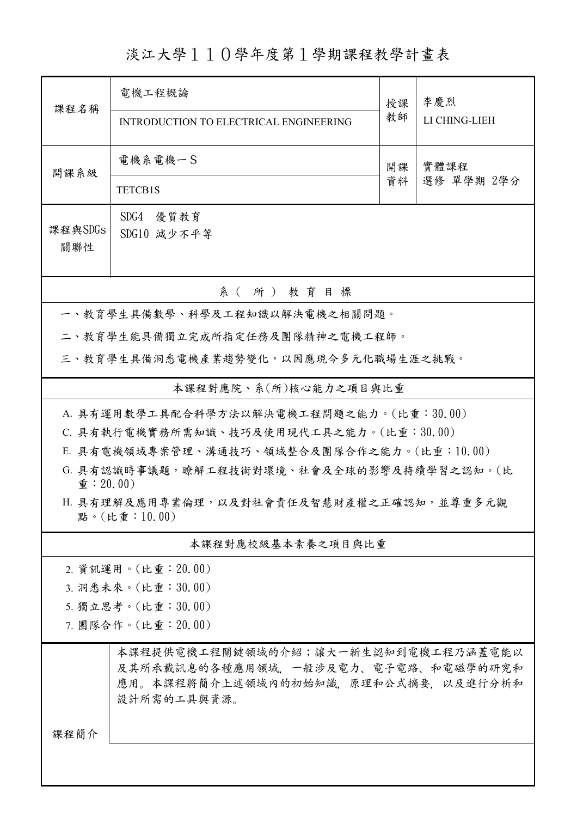淡江大學110學年度第1學期課程教學計畫表

| 課程名稱                                                                        | 電機工程概論<br>INTRODUCTION TO ELECTRICAL ENGINEERING                                                                                 | 授課<br>教師 | 李慶烈<br>LI CHING-LIEH |  |  |  |  |  |
|-----------------------------------------------------------------------------|----------------------------------------------------------------------------------------------------------------------------------|----------|----------------------|--|--|--|--|--|
| 開課系級                                                                        | 電機系電機一S<br><b>TETCB1S</b>                                                                                                        | 開課<br>資料 | 實體課程<br>選修 單學期 2學分   |  |  |  |  |  |
| 課程與SDGs<br>關聯性                                                              | SDG4<br>優質教育<br>SDG10 減少不平等                                                                                                      |          |                      |  |  |  |  |  |
| 系 ( 所 ) 教育目標                                                                |                                                                                                                                  |          |                      |  |  |  |  |  |
|                                                                             | 一、教育學生具備數學、科學及工程知識以解決電機之相關問題。                                                                                                    |          |                      |  |  |  |  |  |
| 二、教育學生能具備獨立完成所指定任務及團隊精神之電機工程師。                                              |                                                                                                                                  |          |                      |  |  |  |  |  |
| 三、教育學生具備洞悉電機產業趨勢變化,以因應現今多元化職場生涯之挑戰。                                         |                                                                                                                                  |          |                      |  |  |  |  |  |
| 本課程對應院、系(所)核心能力之項目與比重                                                       |                                                                                                                                  |          |                      |  |  |  |  |  |
| A. 具有運用數學工具配合科學方法以解決電機工程問題之能力。(比重:30.00)                                    |                                                                                                                                  |          |                      |  |  |  |  |  |
| C. 具有執行電機實務所需知識、技巧及使用現代工具之能力。(比重:30.00)                                     |                                                                                                                                  |          |                      |  |  |  |  |  |
| E. 具有電機領域專案管理、溝通技巧、領域整合及團隊合作之能力。(比重:10.00)                                  |                                                                                                                                  |          |                      |  |  |  |  |  |
| G. 具有認識時事議題,瞭解工程技術對環境、社會及全球的影響及持續學習之認知。(比<br>$\hat{\mathbf{\Psi}}$ : 20.00) |                                                                                                                                  |          |                      |  |  |  |  |  |
| H. 具有理解及應用專業倫理, 以及對社會責任及智慧財產權之正確認知, 並尊重多元觀<br>點。(比重:10.00)                  |                                                                                                                                  |          |                      |  |  |  |  |  |
|                                                                             | 本課程對應校級基本素養之項目與比重                                                                                                                |          |                      |  |  |  |  |  |
|                                                                             | 2. 資訊運用。(比重: 20.00)                                                                                                              |          |                      |  |  |  |  |  |
| 3. 洞悉未來。(比重:30.00)                                                          |                                                                                                                                  |          |                      |  |  |  |  |  |
| 5. 獨立思考。(比重:30.00)                                                          |                                                                                                                                  |          |                      |  |  |  |  |  |
| 7. 團隊合作。(比重:20.00)                                                          |                                                                                                                                  |          |                      |  |  |  |  |  |
| 課程簡介                                                                        | 本課程提供電機工程關鍵領域的介紹;讓大一新生認知到電機工程乃涵蓋電能以<br>及其所承載訊息的各種應用領域,一般涉及電力、電子電路、和電磁學的研究和<br>應用。本課程將簡介上述領域內的初始知識,原理和公式摘要,以及進行分析和<br>設計所需的工具與資源。 |          |                      |  |  |  |  |  |
|                                                                             |                                                                                                                                  |          |                      |  |  |  |  |  |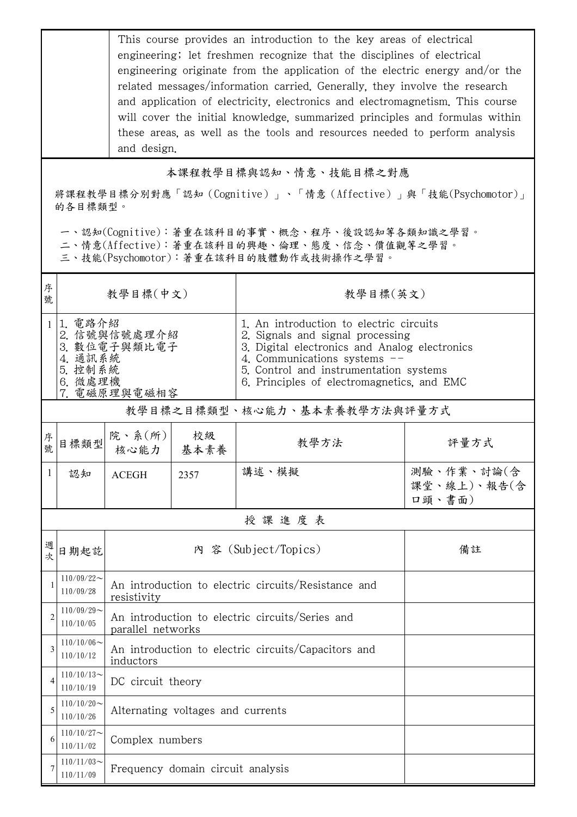This course provides an introduction to the key areas of electrical engineering; let freshmen recognize that the disciplines of electrical engineering originate from the application of the electric energy and/or the related messages/information carried. Generally, they involve the research and application of electricity, electronics and electromagnetism. This course will cover the initial knowledge, summarized principles and formulas within these areas, as well as the tools and resources needed to perform analysis and design.

## 本課程教學目標與認知、情意、技能目標之對應

將課程教學目標分別對應「認知(Cognitive)」、「情意(Affective)」與「技能(Psychomotor)」 的各目標類型。

一、認知(Cognitive):著重在該科目的事實、概念、程序、後設認知等各類知識之學習。

二、情意(Affective):著重在該科目的興趣、倫理、態度、信念、價值觀等之學習。

三、技能(Psychomotor):著重在該科目的肢體動作或技術操作之學習。

| 序<br>號         | 教學目標(中文)                                                                             |                                                                      |                   | 教學目標(英文)                                                                                                                                                                                                                                              |                                     |  |  |
|----------------|--------------------------------------------------------------------------------------|----------------------------------------------------------------------|-------------------|-------------------------------------------------------------------------------------------------------------------------------------------------------------------------------------------------------------------------------------------------------|-------------------------------------|--|--|
| 1              | 1.電路介紹<br>2. 信號與信號處理介紹<br>3. 數位電子與類比電子<br>4. 通訊系統<br>5. 控制系統<br>6. 微處理機<br>電磁原理與電磁相容 |                                                                      |                   | 1. An introduction to electric circuits<br>2. Signals and signal processing<br>3. Digital electronics and Analog electronics<br>4. Communications systems $-$<br>5. Control and instrumentation systems<br>6. Principles of electromagnetics, and EMC |                                     |  |  |
|                | 教學目標之目標類型、核心能力、基本素養教學方法與評量方式                                                         |                                                                      |                   |                                                                                                                                                                                                                                                       |                                     |  |  |
| 序<br>號         | 目標類型                                                                                 | 院、系 $(\text{m})$                                                     | 校級<br>核心能力   基本素養 | 教學方法                                                                                                                                                                                                                                                  | 評量方式                                |  |  |
| 1              | 認知                                                                                   | <b>ACEGH</b>                                                         | 2357              | 講述、模擬                                                                                                                                                                                                                                                 | 測驗、作業、討論(含<br>課堂、線上)、報告(含<br>口頭、書面) |  |  |
|                |                                                                                      |                                                                      |                   | 授課進度表                                                                                                                                                                                                                                                 |                                     |  |  |
| 週<br>次         | 日期起訖                                                                                 | 內 容 (Subject/Topics)                                                 |                   |                                                                                                                                                                                                                                                       | 備註                                  |  |  |
|                | $110/09/22$ ~<br>110/09/28                                                           | An introduction to electric circuits/Resistance and<br>resistivity   |                   |                                                                                                                                                                                                                                                       |                                     |  |  |
| $\overline{c}$ | $110/09/29$ ~<br>110/10/05                                                           | An introduction to electric circuits/Series and<br>parallel networks |                   |                                                                                                                                                                                                                                                       |                                     |  |  |
| 3              | $110/10/06 \sim$<br>110/10/12                                                        | An introduction to electric circuits/Capacitors and<br>inductors     |                   |                                                                                                                                                                                                                                                       |                                     |  |  |
|                | $110/10/13$ ~<br>110/10/19                                                           | DC circuit theory                                                    |                   |                                                                                                                                                                                                                                                       |                                     |  |  |
| 5              | $110/10/20$ ~<br>110/10/26                                                           | Alternating voltages and currents                                    |                   |                                                                                                                                                                                                                                                       |                                     |  |  |
| 6              | $110/10/27$ ~<br>110/11/02                                                           | Complex numbers                                                      |                   |                                                                                                                                                                                                                                                       |                                     |  |  |
| 7              | $110/11/03$ ~<br>110/11/09                                                           | Frequency domain circuit analysis                                    |                   |                                                                                                                                                                                                                                                       |                                     |  |  |